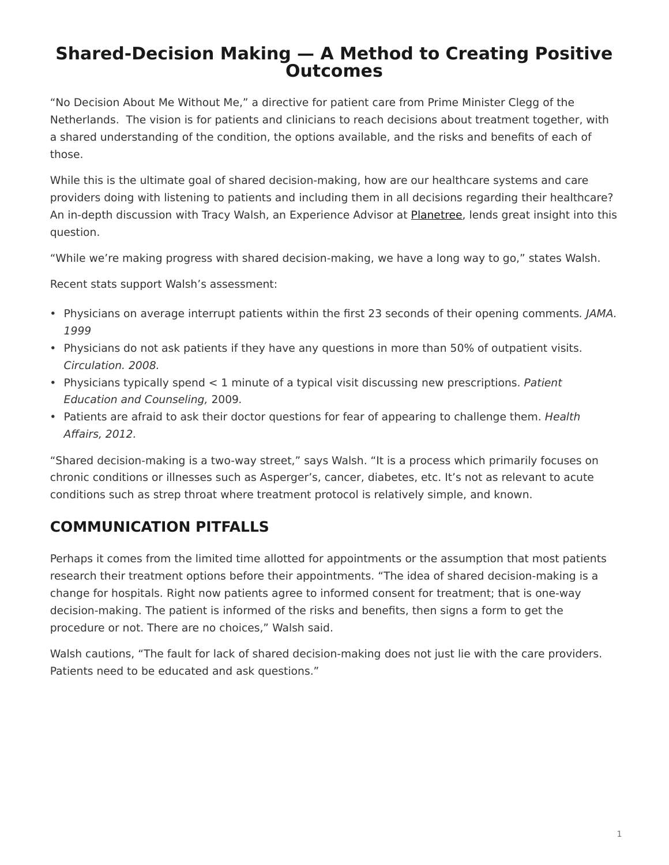# <span id="page-0-0"></span>**Shared-Decision Making — A Method to Creating Positive Outcomes**

"No Decision About Me Without Me," a directive for patient care from Prime Minister Clegg of the Netherlands. The vision is for patients and clinicians to reach decisions about treatment together, with a shared understanding of the condition, the options available, and the risks and benefits of each of those.

While this is the ultimate goal of shared decision-making, how are our healthcare systems and care providers doing with listening to patients and including them in all decisions regarding their healthcare? An in-depth discussion with Tracy Walsh, an Experience Advisor at [Planetree](http://planetree.org/), lends great insight into this question.

"While we're making progress with shared decision-making, we have a long way to go," states Walsh.

Recent stats support Walsh's assessment:

- Physicians on average interrupt patients within the first 23 seconds of their opening comments. JAMA. 1999
- Physicians do not ask patients if they have any questions in more than 50% of outpatient visits. Circulation. 2008.
- Physicians typically spend < 1 minute of a typical visit discussing new prescriptions. Patient Education and Counseling, 2009.
- Patients are afraid to ask their doctor questions for fear of appearing to challenge them. Health Affairs, 2012.

"Shared decision-making is a two-way street," says Walsh. "It is a process which primarily focuses on chronic conditions or illnesses such as Asperger's, cancer, diabetes, etc. It's not as relevant to acute conditions such as strep throat where treatment protocol is relatively simple, and known.

## **COMMUNICATION PITFALLS**

Perhaps it comes from the limited time allotted for appointments or the assumption that most patients research their treatment options before their appointments. "The idea of shared decision-making is a change for hospitals. Right now patients agree to informed consent for treatment; that is one-way decision-making. The patient is informed of the risks and benefits, then signs a form to get the procedure or not. There are no choices," Walsh said.

Walsh cautions, "The fault for lack of shared decision-making does not just lie with the care providers. Patients need to be educated and ask questions."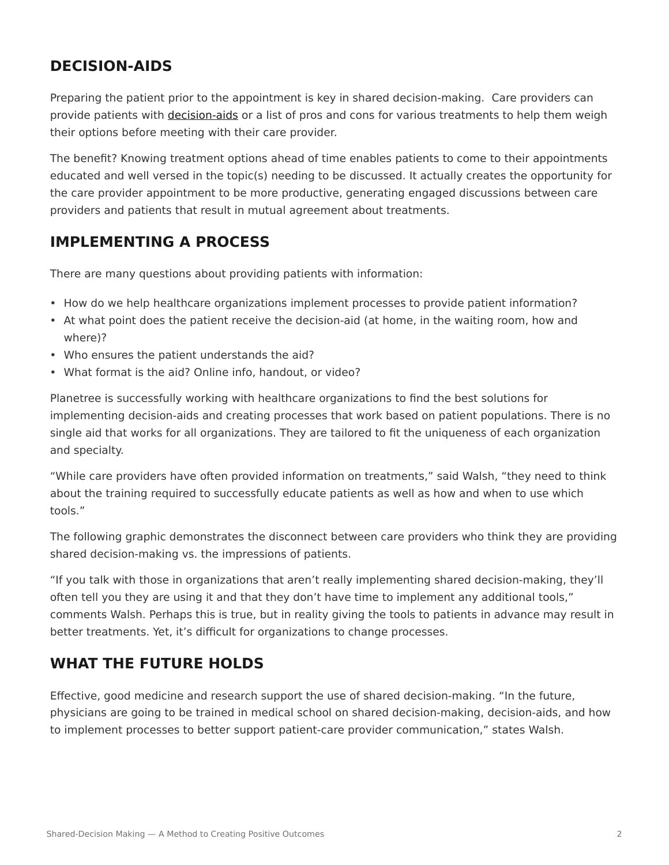#### **DECISION-AIDS**

Preparing the patient prior to the appointment is key in shared decision-making. Care providers can provide patients with [decision-aids](http://www.informedmedicaldecisions.org/shared-decision-making-in-practice/decision-aids/) or a list of pros and cons for various treatments to help them weigh their options before meeting with their care provider.

The benefit? Knowing treatment options ahead of time enables patients to come to their appointments educated and well versed in the topic(s) needing to be discussed. It actually creates the opportunity for the care provider appointment to be more productive, generating engaged discussions between care providers and patients that result in mutual agreement about treatments.

#### **IMPLEMENTING A PROCESS**

There are many questions about providing patients with information:

- How do we help healthcare organizations implement processes to provide patient information?
- At what point does the patient receive the decision-aid (at home, in the waiting room, how and where)?
- Who ensures the patient understands the aid?
- What format is the aid? Online info, handout, or video?

Planetree is successfully working with healthcare organizations to find the best solutions for implementing decision-aids and creating processes that work based on patient populations. There is no single aid that works for all organizations. They are tailored to fit the uniqueness of each organization and specialty.

"While care providers have often provided information on treatments," said Walsh, "they need to think about the training required to successfully educate patients as well as how and when to use which tools."

The following graphic demonstrates the disconnect between care providers who think they are providing shared decision-making vs. the impressions of patients.

"If you talk with those in organizations that aren't really implementing shared decision-making, they'll often tell you they are using it and that they don't have time to implement any additional tools," comments Walsh. Perhaps this is true, but in reality giving the tools to patients in advance may result in better treatments. Yet, it's difficult for organizations to change processes.

### **WHAT THE FUTURE HOLDS**

Effective, good medicine and research support the use of shared decision-making. "In the future, physicians are going to be trained in medical school on shared decision-making, decision-aids, and how to implement processes to better support patient-care provider communication," states Walsh.